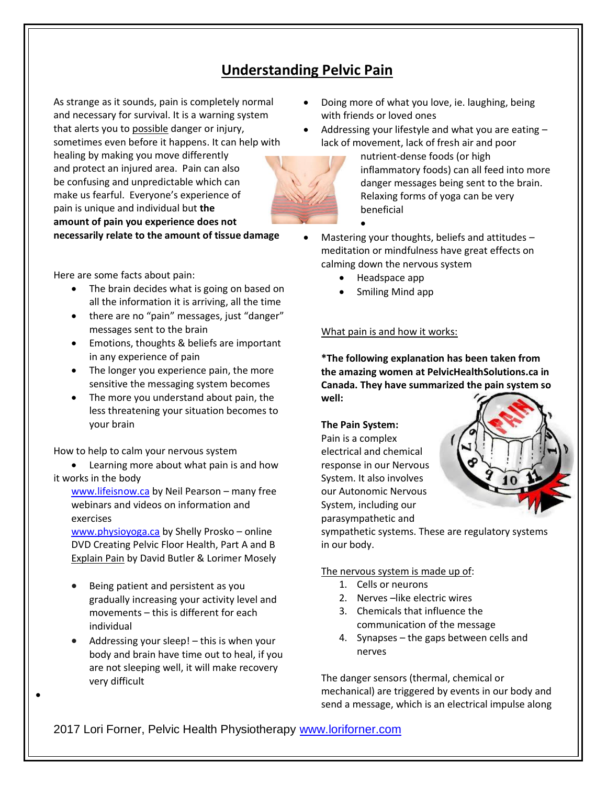# **Understanding Pelvic Pain**

As strange as it sounds, pain is completely normal and necessary for survival. It is a warning system that alerts you to possible danger or injury, sometimes even before it happens. It can help with healing by making you move differently and protect an injured area. Pain can also be confusing and unpredictable which can make us fearful. Everyone's experience of pain is unique and individual but **the amount of pain you experience does not necessarily relate to the amount of tissue damage**

Here are some facts about pain:

- The brain decides what is going on based on all the information it is arriving, all the time
- there are no "pain" messages, just "danger" messages sent to the brain
- Emotions, thoughts & beliefs are important in any experience of pain
- The longer you experience pain, the more sensitive the messaging system becomes
- The more you understand about pain, the less threatening your situation becomes to your brain

How to help to calm your nervous system

• Learning more about what pain is and how it works in the body

[www.lifeisnow.ca](http://www.lifeisnow.ca/) by Neil Pearson – many free webinars and videos on information and exercises

[www.physioyoga.ca](http://www.physioyoga.ca/) by Shelly Prosko – online DVD Creating Pelvic Floor Health, Part A and B Explain Pain by David Butler & Lorimer Mosely

- Being patient and persistent as you gradually increasing your activity level and movements – this is different for each individual
- Addressing your sleep! this is when your body and brain have time out to heal, if you are not sleeping well, it will make recovery very difficult

•

- Doing more of what you love, ie. laughing, being with friends or loved ones
- Addressing your lifestyle and what you are eating lack of movement, lack of fresh air and poor



nutrient-dense foods (or high inflammatory foods) can all feed into more danger messages being sent to the brain. Relaxing forms of yoga can be very beneficial

- Mastering your thoughts, beliefs and attitudes  $$ meditation or mindfulness have great effects on calming down the nervous system
	- Headspace app

•

• Smiling Mind app

## What pain is and how it works:

**\*The following explanation has been taken from the amazing women at PelvicHealthSolutions.ca in Canada. They have summarized the pain system so well:**

#### **The Pain System:**

Pain is a complex electrical and chemical response in our Nervous System. It also involves our Autonomic Nervous System, including our parasympathetic and



sympathetic systems. These are regulatory systems in our body.

### The nervous system is made up of:

- 1. Cells or neurons
- 2. Nerves like electric wires
- 3. Chemicals that influence the communication of the message
- 4. Synapses the gaps between cells and nerves

The danger sensors (thermal, chemical or mechanical) are triggered by events in our body and send a message, which is an electrical impulse along

2017 Lori Forner, Pelvic Health Physiotherapy [www.loriforner.com](http://www.loriforner.com/)